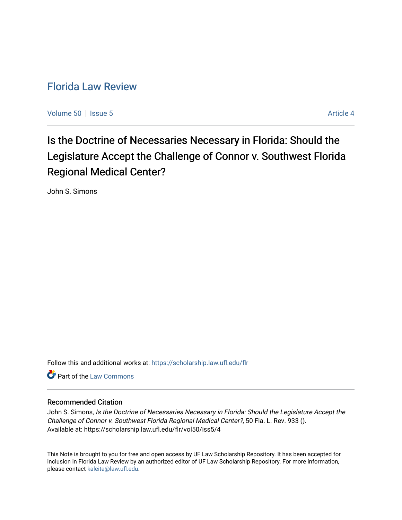# [Florida Law Review](https://scholarship.law.ufl.edu/flr)

[Volume 50](https://scholarship.law.ufl.edu/flr/vol50) | [Issue 5](https://scholarship.law.ufl.edu/flr/vol50/iss5) Article 4

Is the Doctrine of Necessaries Necessary in Florida: Should the Legislature Accept the Challenge of Connor v. Southwest Florida Regional Medical Center?

John S. Simons

Follow this and additional works at: [https://scholarship.law.ufl.edu/flr](https://scholarship.law.ufl.edu/flr?utm_source=scholarship.law.ufl.edu%2Fflr%2Fvol50%2Fiss5%2F4&utm_medium=PDF&utm_campaign=PDFCoverPages)

**C** Part of the [Law Commons](http://network.bepress.com/hgg/discipline/578?utm_source=scholarship.law.ufl.edu%2Fflr%2Fvol50%2Fiss5%2F4&utm_medium=PDF&utm_campaign=PDFCoverPages)

# Recommended Citation

John S. Simons, Is the Doctrine of Necessaries Necessary in Florida: Should the Legislature Accept the Challenge of Connor v. Southwest Florida Regional Medical Center?, 50 Fla. L. Rev. 933 (). Available at: https://scholarship.law.ufl.edu/flr/vol50/iss5/4

This Note is brought to you for free and open access by UF Law Scholarship Repository. It has been accepted for inclusion in Florida Law Review by an authorized editor of UF Law Scholarship Repository. For more information, please contact [kaleita@law.ufl.edu](mailto:kaleita@law.ufl.edu).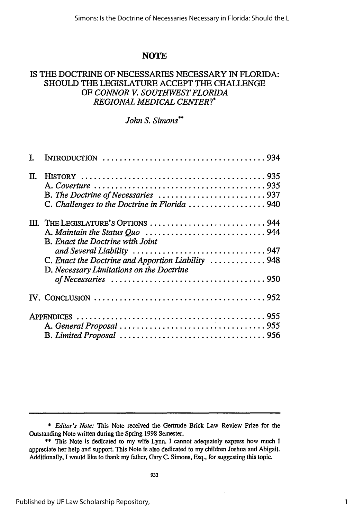# **NOTE**

# IS THE DOCTRINE OF NECESSARIES NECESSARY IN FLORIDA: SHOULD THE LEGISLATURE ACCEPT THE CHALLENGE OF *CONNOR V. SOUTHWEST FLORIDA REGIONAL MEDICAL CENTER?\**

# *John S. Simons\*\**

| T. |                                                                                                                                                                           |
|----|---------------------------------------------------------------------------------------------------------------------------------------------------------------------------|
| П. | C. Challenges to the Doctrine in Florida 940                                                                                                                              |
|    | III. THE LEGISLATURE'S OPTIONS  944<br>B. Enact the Doctrine with Joint<br>C. Enact the Doctrine and Apportion Liability  948<br>D. Necessary Limitations on the Doctrine |
|    |                                                                                                                                                                           |
|    |                                                                                                                                                                           |

\* *Editor's Note:* This Note received the Gertrude Brick Law Review Prize for the Outstanding Note written during the Spring 1998 Semester.

<sup>\*\*</sup> This Note is dedicated to my wife Lynn. I cannot adequately express how much I appreciate her help and support. This Note is also dedicated to my children Joshua and Abigail. Additionally, I would like to thank my father, Gary C. Simons, Esq., for suggesting this topic.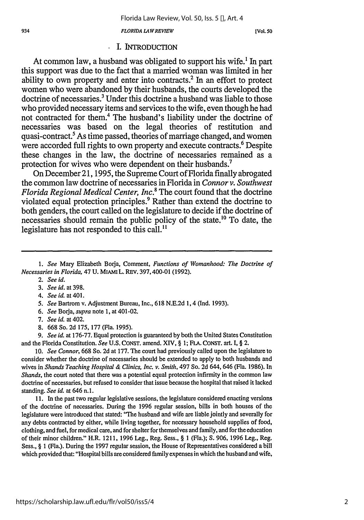**[Vol. so**

### **.** I. INTRODUCTION

At common law, a husband was obligated to support his wife.' In part this support was due to the fact that a married woman was limited in her ability to own property and enter into contracts.2 In an effort to protect women who were abandoned by their husbands, the courts developed the doctrine of necessaries.<sup>3</sup> Under this doctrine a husband was liable to those who provided necessary items and services to the wife, even though he had not contracted for them.4 The husband's liability under the doctrine of necessaries was based on the legal theories of restitution and quasi-contract.5 As time passed, theories of marriage changed, and women were accorded full rights to own property and execute contracts.<sup>6</sup> Despite these changes in the law, the doctrine of necessaries remained as a protection for wives who were dependent on their husbands.<sup>7</sup>

On December 21, 1995, the Supreme Court of Florida finally abrogated the common law doctrine of necessaries in Florida in *Connor v. Southwest Florida Regional Medical Center, Inc.8* The court found that the doctrine violated equal protection principles.<sup>9</sup> Rather than extend the doctrine to both genders, the court called on the legislature to decide if the doctrine of necessaries should remain the public policy of the state.<sup>10</sup> To date, the legislature has not responded to this call.<sup>11</sup>

1. See Mary Elizabeth Borja, Comment, *Functions of Womanhood: The Doctrine of Necessaries in Florida,* 47 U. MIAMI L. REV. 397,400-01 (1992).

- 2. *See id.*
- 3. *See id.* at 398.
- *4. See id.* at 401.
- *5.* See Bartrom v. Adjustment Bureau, Inc., 618 N.E.2d 1,4 (Ind. 1993).
- *6. See* Borja, *supra* note 1, at 401-02.
- *7. See id.* at 402.
- 8. 668 So. 2d 175, 177 (Fla. 1995).

9. *See id.* at 176-77. Equal protection is guaranteed by both the United States Constitution and the Florida Constitution. *See* U.S. CONST. amend. XIV, § 1; FLA. CONST. art. I, § 2.

10. *See Connor,* 668 So. 2d at 177. The court had previously called upon the legislature to consider whether the doctrine of necessaries should be extended to apply to both husbands and wives in *Shands Teaching Hospital & Clinics, Inc. v. Smith,* 497 So. 2d 644,646 (Fla. 1986). In *Shands,* the court noted that there was a potential equal protection infirmity in the common law doctrine of necessaries, but refused to consider that issue because the hospital that raised it lacked standing. *See id.* at 646 n.1.

11. In the past two regular legislative sessions, the legislature considered enacting versions of the doctrine of necessaries. During the 1996 regular session, bills in both houses of the legislature were introduced that stated: "The husband and wife are liable jointly and severally for any debts contracted by either, while living together, for necessary household supplies of food, clothing, and fuel, for medical care, and for shelter for themselves and family, and for the education of their minor children." H.R. 1211, 1996 Leg., Reg. Sess., § **1** (Fla.); S. 906, 1996 Leg., Reg. Sess., § 1 (Fla.). During the 1997 regular session, the House of Representatives considered a bill which provided that: "Hospital bills are considered family expenses in which the husband and wife,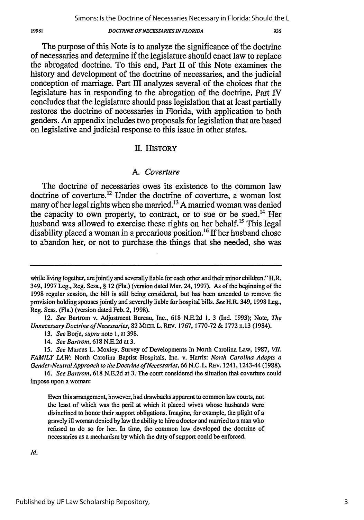935

The purpose of this Note is to analyze the significance of the doctrine of necessaries and determine if the legislature should enact law to replace the abrogated doctrine. To this end, Part **I** of this Note examines the history and development of the doctrine of necessaries, and the judicial conception of marriage. Part IH analyzes several of the choices that the legislature has in responding to the abrogation of the doctrine. Part IV concludes that the legislature should pass legislation that at least partially restores the doctrine of necessaries in Florida, with application to both genders. An appendix includes two proposals for legislation that are based on legislative and judicial response to this issue in other states.

## **1I.** HISTORY

### *A. Coverture*

The doctrine of necessaries owes its existence to the common law doctrine of coverture.<sup>12</sup> Under the doctrine of coverture, a woman lost many of her legal rights when she married.<sup>13</sup> A married woman was denied the capacity to own property, to contract, or to sue or be sued.<sup>14</sup> Her husband was allowed to exercise these rights on her behalf.<sup>15</sup> This legal disability placed a woman in a precarious position.<sup>16</sup> If her husband chose to abandon her, or not to purchase the things that she needed, she was

Id.

1998]

while living together, are jointly and severally liable for each other and their minor children." H.R. 349, 1997 Leg., Reg. Sess., § 12 (Fla.) (version dated Mar. 24, 1997). As of the beginning of the **1998** regular session, the bill is still being considered, but has been amended to remove the provision holding spouses jointly and severally liable for hospital bills. *See* H.R. 349, 1998 Leg., Reg. Sess. (Fla.) (version dated Feb. 2, 1998).

<sup>12.</sup> *See* Bartrom v. Adjustment Bureau, Inc., 618 N.E.2d 1, 3 (Ind. 1993); Note, *The Unnecessary Doctrine of Necessaries,* 82 MICH. L. REV. 1767, 1770-72 & 1772 n.13 (1984).

<sup>13.</sup> *See* Borja, *supra* note 1, at 398.

<sup>14.</sup> *See Bartrom,* 618 N.E.2d at 3.

*<sup>15.</sup> See* Marcus L. Moxley, Survey of Developments in North Carolina Law, 1987, *VII. FAMILY LAW:* North Carolina Baptist Hospitals, Inc. v. Harris: *North Carolina Adopts a Gender-NeutralApproach to the Doctrine of Necessaries,* 66 N.C.L. REV. 1241, 1243-44(1988).

<sup>16.</sup> *See Bartrom,* 618 N.E.2d at 3. The court considered the situation that coverture could impose upon a woman:

Even this arrangement, however, had drawbacks apparent to common law courts, not the least of which was the peril at which it placed wives whose husbands were disinclined to honor their support obligations. Imagine, for example, the plight of a gravely ill woman denied by law the ability to hire a doctor and married to a man who refused to do so for her. In time, the common law developed the doctrine of necessaries as a mechanism by which the duty of support could be enforced.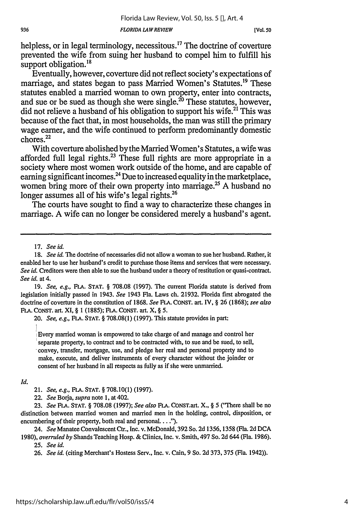helpless, or in legal terminology, necessitous.<sup>17</sup> The doctrine of coverture prevented the wife from suing her husband to compel him to fulfill his support obligation.<sup>18</sup>

Eventually, however, coverture did not reflect society's expectations of marriage, and states began to pass Married Women's Statutes.<sup>19</sup> These statutes enabled a married woman to own property, enter into contracts, and sue or be sued as though she were single.<sup>20</sup> These statutes, however, did not relieve a husband of his obligation to support his wife.<sup>21</sup> This was because of the fact that, in most households, the man was still the primary wage earner, and the wife continued to perform predominantly domestic chores.22

With coverture abolished by the Married Women's Statutes, a wife was afforded full legal rights.<sup>23</sup> These full rights are more appropriate in a society where most women work outside of the home, and are capable of earning significant incomes.<sup>24</sup> Due to increased equality in the marketplace, women bring more of their own property into marriage.<sup>25</sup> A husband no longer assumes all of his wife's legal rights.<sup>26</sup>

The courts have sought to find a way to characterize these changes in marriage. A wife can no longer be considered merely a husband's agent.

19. *See, e.g.,* FLA. **STAT.** § 708.08 (1997). The current Florida statute is derived from legislation initially passed in 1943. *See* 1943 Fla. Laws ch. 21932. Florida first abrogated the doctrine of coverture in the constitution of 1868. *See* **FLA.** CONST. art. IV, § 26 (1868); *see also* **FLA.** CONST. art. XI, § 1 (1885); **FLA.** CONST. art. X, § *5.*

20. *See, e.g.,* **FLA. STAT.** § 708.08(1) (1997). This statute provides in part:

Every married woman is empowered to take charge of and manage and control her separate property, to contract and to be contracted with, to sue and be sued, to sell, convey, transfer, mortgage, use, and pledge her real and personal property and to make, execute, and deliver instruments of every character without the joinder or consent of her husband in all respects as fully as if she were unmarried.

### *Id.*

21. *See, e.g.,* **FLA. STAT.** § 708.10(1) (1997).

22. *See* Borja, *supra* note 1, at 402.

23. *See* **FRA. STAT.** § 708.08 (1997); *See also* **FLA.** CONST.art. X., § 5 ('There shall be no distinction between married women and married men in the holding, control, disposition, or encumbering of their property, both real and personal. . . .").

24. *See* Manatee Convalescent Ctr., Inc. v. McDonald, 392 So. 2d 1356, 1358 (Fla. 2d DCA 1980), *overruled by* Shands Teaching Hosp. & Clinics, Inc. v. Smith, 497 So. 2d 644 (Fla. 1986).

25. *See id.*

26. *See id.* (citing Merchant's Hostess Serv., Inc. v. Cain, 9 So. 2d 373, 375 (Fla. 1942)).

<sup>17.</sup> *See id.*

**<sup>18.</sup>** *See id.* The doctrine of necessaries did not allow a woman to sue her husband. Rather, it enabled her to use her husband's credit to purchase those items and services that were necessary. *See id.* Creditors were then able to sue the husband under a theory of restitution or quasi-contract. *See id.* at 4.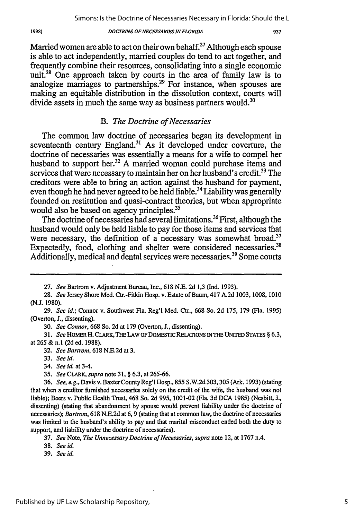Married women are able to act on their own behalf.<sup>27</sup> Although each spouse is able to act independently, married couples do tend to act together, and frequently combine their resources, consolidating into a single economic unit.<sup>28</sup> One approach taken by courts in the area of family law is to analogize marriages to partnerships.<sup>29</sup> For instance, when spouses are making an equitable distribution in the dissolution context, courts will divide assets in much the same way as business partners would.<sup>30</sup>

## *B. The Doctrine of Necessaries*

The common law doctrine of necessaries began its development in seventeenth century England.31 As it developed under coverture, the doctrine of necessaries was essentially a means for a wife to compel her husband to support her.<sup>32</sup> A married woman could purchase items and services that were necessary to maintain her on her husband's credit.<sup>33</sup> The creditors were able to bring an action against the husband for payment, even though he had never agreed to be held liable.<sup>34</sup> Liability was generally founded on restitution and quasi-contract theories, but when appropriate would also be based on agency principles.<sup>35</sup>

The doctrine of necessaries had several limitations.36 First, although the husband would only be held liable to pay for those items and services that were necessary, the definition of a necessary was somewhat broad.<sup>37</sup> Expectedly, food, clothing and shelter were considered necessaries.<sup>38</sup> Additionally, medical and dental services were necessaries.<sup>39</sup> Some courts

30. *See* Connor, 668 So. 2d at 179 (Overton, J., dissenting).

*31. See* HOMER H. CLARK, THE LAW OF DOMESTIC RELATIONS **IN** THE UNITED STATES § **6.3,** at 265 **&** n.1 **(2d** ed. 1988).

- 33. *See id.*
- 34. *See id.* at 3-4.
- *35. See* CLARK, *supra* note 31, § 6.3, at 265-66.

38. *See id.*

39. *See id.*

19981

<sup>27.</sup> *See* Bartrom v. Adjustment Bureau, Inc., 618 N.E. 2d 1,3 (Ind. 1993).

<sup>28.</sup> *See* Jersey Shore Med. Ctr.-Fitkin Hosp. v. Estate of Baum, 417 A.2d 1003, 1008, 1010 (N.J. 1980).

<sup>29.</sup> *See id.;* Connor v. Southwest Fla. Reg'l Med. Ctr., 668 So. 2d 175, 179 (Fla. 1995) (Overton, J., dissenting).

*<sup>32.</sup> See Bartrom,* 618 N.E.2d at 3.

<sup>36.</sup> *See, e.g.,* Davis v. Baxter CountyReg'l Hosp., 855 S.W.2d 303,305 (Ark. 1993) (stating that when a creditor furnished necessaries solely on the credit of the wife, the husband was not liable); Beers v. Public Health Trust, 468 So. 2d 995, 1001-02 (Fla. 3d **DCA** 1985) (Nesbitt, **J.,** dissenting) (stating that abandonment by spouse would prevent liability under the doctrine of necessaries); *Bartrom,* 618 N.E.2d at 6, 9 (stating that at common law, the doctrine of necessaries was limited to the husband's ability to pay and that marital misconduct ended both the duty to support, and liability under the doctrine of necessaries).

<sup>37.</sup> *See* Note, *The Unnecessary Doctrine of Necessaries, supra* note 12, at 1767 n.4.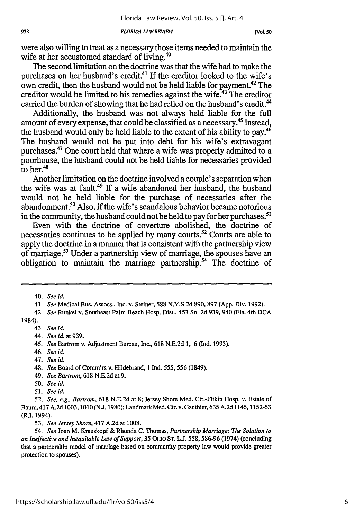were also willing to treat as a necessary those items needed to maintain the wife at her accustomed standard of living.<sup>40</sup>

The second limitation on the doctrine was that the wife had to make the purchases on her husband's credit.<sup>41</sup> If the creditor looked to the wife's own credit, then the husband would not be held liable for payment.<sup>42</sup> The creditor would be limited to his remedies against the wife.<sup>43</sup> The creditor carried the burden of showing that he had relied on the husband's credit.<sup>44</sup>

Additionally, the husband was not always held liable for the full amount of every expense, that could be classified as a necessary.<sup>45</sup> Instead, the husband would only be held liable to the extent of his ability to pay.<sup>46</sup> The husband would not be put into debt for his wife's extravagant purchases.47 One court held that where a wife was properly admitted to a poorhouse, the husband could not be held liable for necessaries provided to her.<sup>48</sup>

Another limitation on the doctrine involved a couple's separation when the wife was at fault.49 If a wife abandoned her husband, the husband would not be held liable for the purchase of necessaries after the abandonment.<sup>50</sup> Also, if the wife's scandalous behavior became notorious in the community, the husband could not be held to pay for her purchases.<sup>51</sup>

Even with the doctrine of coverture abolished, the doctrine of necessaries continues to be applied by many courts. $^{52}$  Courts are able to apply the doctrine in a manner that is consistent with the partnership view of marriage.53 Under a partnership view of marriage, the spouses have an obligation to maintain the marriage partnership.54 The doctrine of

- 45. *See* Bartrom v. Adjustment Bureau, Inc., 618 N.E.2d 1, 6 (Ind. 1993).
- 46. *See id.*
- 47. *See id.*
- 48. *See* Board of Comm'rs v. Hildebrand, **I** Ind. 555, 556 (1849).
- 49. *See Bartrom,* 618 N.E.2d at 9.
- *50. See id.*
- *51. See id.*

<sup>40.</sup> *See id.*

<sup>41.</sup> *See* Medical Bus. Assocs., Inc. v. Steiner, 588 N.Y.S.2d 890, 897 (App. Div. 1992).

<sup>42.</sup> *See* Runkel v. Southeast Palm Beach Hosp. Dist., 453 So. 2d 939, 940 (Fla. 4th DCA 1984).

<sup>43.</sup> *See id.*

<sup>44.</sup> *See id.* at 939.

<sup>52.</sup> *See, e.g., Bartrom,* 618 N.E.2d at 8; Jersey Shore Med. Ctr.-Fitkin Hosp. v. Estate of Baum,417 A.2d 1003, 1010 (N.J. 1980); LandmarkMed. Ctr. v. Gauthier, 635 A.2d 1145,1152-53 (R.I. 1994).

*<sup>53.</sup> See Jersey Shore,* 417 A.2d at 1008.

*<sup>54.</sup> See* Joan M. Krauskopf & Rhonda C. Thomas, *Partnership Marriage: The Solution to an Ineffective and Inequitable Law of Support,* 35 OHIO ST. L.J. *558,* 586-96 (1974) (concluding that a partnership model of marriage based on community property law would provide greater protection to spouses).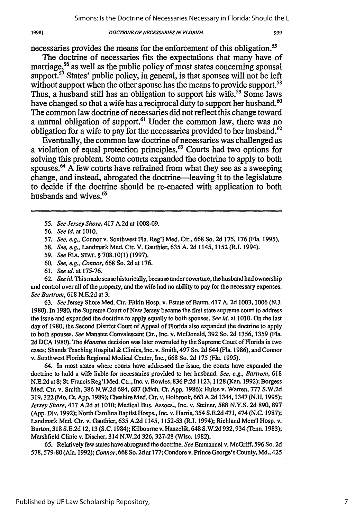necessaries provides the means for the enforcement of this obligation.<sup>55</sup>

The doctrine of necessaries fits the expectations that many have of marriage,<sup>56</sup> as well as the public policy of most states concerning spousal support.<sup>57</sup> States' public policy, in general, is that spouses will not be left without support when the other spouse has the means to provide support.<sup>58</sup> Thus, a husband still has an obligation to support his wife.<sup>59</sup> Some laws have changed so that a wife has a reciprocal duty to support her husband.<sup>60</sup> The common law doctrine of necessaries did not reflect this change toward a mutual obligation of support.<sup>61</sup> Under the common law, there was no obligation for a wife to pay for the necessaries provided to her husband.<sup>62</sup>

Eventually, the common law doctrine of necessaries was challenged as a violation of equal protection principles.<sup>63</sup> Courts had two options for solving this problem. Some courts expanded the doctrine to apply to both spouses.<sup>64</sup> A few courts have refrained from what they see as a sweeping change, and instead, abrogated the doctrine-leaving it to the legislature to decide if the doctrine should be re-enacted with application to both husbands and wives.<sup>65</sup>

59. *See FLA.* **STAT.** § 708.10(1) (1997).

61. *See id.* at 175-76.

**62.** *See id.* This made sense historically, because under coverture, the husband had ownership and control over all of the property, and the wife had no ability to pay for the necessary expenses. *See Bartrom,* 618 N.E.2d at 3.

63. *See* Jersey Shore Med. Ctr.-Fitkin Hosp. v. Estate of Baum, 417 A. 2d 1003, 1006 (N.J. 1980). In 1980, the Supreme Court of New Jersey became the first state supreme court to address the issue and expanded the doctrine to apply equally to both spouses. *See id.* at 1010. On the last day of 1980, the Second District Court of Appeal of Florida also expanded the doctrine to apply to both spouses. *See* Manatee Convalescent Ctr., Inc. v. McDonald, 392 So. 2d 1356, 1359 (Fla. 2d DCA 1980). The *Manatee* decision was later overruled by the Supreme Court of Florida in two cases: Shands Teaching Hospital & Clinics, Inc. v. Smith, 497 So. 2d 644 (Fla. 1986), and Connor v. Southwest Florida Regional Medical Center, Inc., 668 So. 2d 175 (Fla. 1995).

64. In most states where courts have addressed the issue, the courts have expanded the doctrine to hold a wife liable for necessaries provided to her husband. *See, e.g., Bartrom,* 618 N.E.2d at 8; St. Francis Reg'l Med. Ctr., Inc. v. Bowles, 836 P.2d 1123, 1128 (Kan. 1992); Borgess Med. Ctr. v. Smith, 386 N.W.2d 684, 687 (Mich. Ct. App. 1986); Hulse v. Warren, 777 S.W.2d 319,322 (Mo. Ct. App. 1989); Cheshire Med. Ctr. v. Holbrook, 663 A.2d 1344,1347 (N.H. 1995); *Jersey Shore,* 417 A.2d at 1010; Medical Bus. Assocs., Inc. v. Steiner, 588 N.Y.S. 2d 890, 897 (App. Div. 1992); North Carolina Baptist Hosps., Inc. v. Harris, 354 S.E.2d 471,474 (N.C. 1987); Landmark Med. Ctr. v. Gauthier, 635 A.2d 1145, 1152-53 (R.I. 1994); Richland Mem'l Hosp. v. Burton, 318 S.E.2d 12, 13 (S.C. 1984); Kilbourne v. Hanzelik, 648 S.W.2d 932, 934 (Tenn. 1983); Marshfield Clinic v. Discher, 314 N.W.2d 326, 327-28 (Wisc. 1982).

65. Relatively few states have abrogated the doctrine. *See* Emmanuel v. McGriff, 596 So. 2d 578,579-80 (Ala. 1992); *Connor,* 668 So. 2d at 177; Condore v. Prince George's County, Md., 425

1998]

*<sup>55.</sup> See Jersey Shore,* 417 A.2d at 1008-09.

*<sup>56.</sup> See id.* at 1010.

<sup>57.</sup> *See, e.g.,* Connor v. Southwest Fla. Reg'l Med. Ctr., 668 So. 2d 175, 176 (Fla. 1995).

<sup>58.</sup> *See, e.g.,* Landmark Med. Ctr. V. Gauthier, 635 A. 2d 1145, 1152 (R.I. 1994).

**<sup>60.</sup>** *See, e.g., Connor,* 668 So. 2d at 176.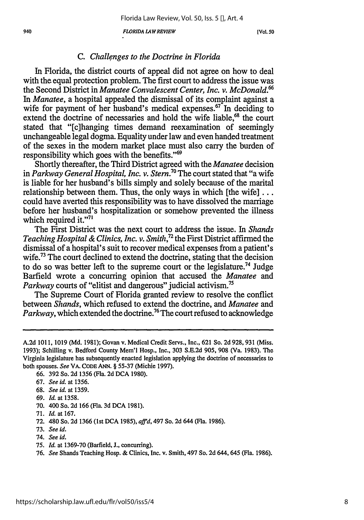*FLORIDA LAW REVIEW 940* **[Vol. so**

### *C. Challenges to the Doctrine in Florida*

In Florida, the district courts of appeal did not agree on how to deal with the equal protection problem. The first court to address the issue was the Second District in *Manatee Convalescent Center, Inc. v. McDonald.66* In *Manatee,* a hospital appealed the dismissal of its complaint against a wife for payment of her husband's medical expenses.<sup>67</sup> In deciding to extend the doctrine of necessaries and hold the wife liable.<sup>68</sup> the court stated that "[cIhanging times demand reexamination of seemingly unchangeable legal dogma. Equality under law and even handed treatment of the sexes in the modem market place must also carry the burden of responsibility which goes with the benefits."<sup>69</sup>

Shortly thereafter, the Third District agreed with the *Manatee* decision in *Parkway General Hospital, Inc. v. Stern.70* The court stated that "a wife is liable for her husband's bills simply and solely because of the marital relationship between them. Thus, the only ways in which [the wife] ... could have averted this responsibility was to have dissolved the marriage before her husband's hospitalization or somehow prevented the illness which required it."<sup>71</sup>

The First District was the next court to address the issue. In *Shands Teaching Hospital & Clinics, Inc. v. Smith*,<sup>72</sup> the First District affirmed the dismissal of a hospital's suit to recover medical expenses from a patient's wife.<sup>73</sup> The court declined to extend the doctrine, stating that the decision to do so was better left to the supreme court or the legislature.<sup>74</sup> Judge Barfield wrote a concurring opinion that accused the *Manatee* and *Parkway* courts of "elitist and dangerous" judicial activism.<sup>75</sup>

The Supreme Court of Florida granted review to resolve the conflict between *Shands,* which refused to extend the doctrine, and *Manatee* and *Parkway,* which extended the doctrine.<sup>76</sup> The court refused to acknowledge

- 69. *Id.* at 1358.
- 70. 400 So. 2d 166 (Fla. 3d **DCA** 1981).
- 71. *Id.* at 167.
- 72. 480 So. 2d 1366 (1st DCA 1985), *affid,* 497 So. 2d 644 (Fla. 1986).
- 73. *See id.*
- 74. *See id.*
- 75. *Id.* at 1369-70 (Barfield, J., concurring).

A.2d 1011, 1019 (Md. 1981); Govan v. Medical Credit Servs., Inc., 621 So. 2d 928, 931 (Miss. 1993); Schilling v. Bedford County Mem'l Hosp., Inc., 303 S.E.2d 905, 908 (Va. 1983). The Virginia legislature has subsequently enacted legislation applying the doctrine of necessaries to both spouses. *See* VA. **CODE** ANN. § **55-37** (Michie **1997).**

<sup>66. 392</sup> So. 2d 1356 (Fla. 2d **DCA** 1980).

<sup>67.</sup> *See id.* at 1356.

<sup>68.</sup> *See id.* at 1359.

<sup>76.</sup> *See* Shands Teaching Hosp. & Clinics, Inc. v. Smith, 497 So. **2d** 644, 645 (Fla. 1986).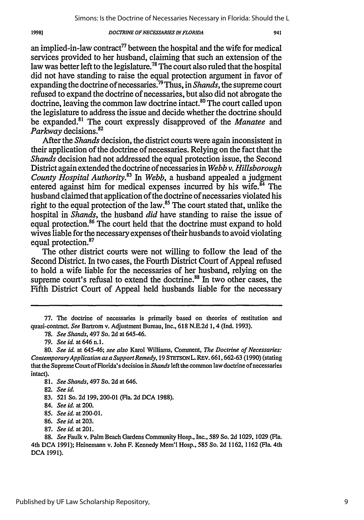an implied-in-law contract<sup>77</sup> between the hospital and the wife for medical services provided to her husband, claiming that such an extension of the law was better left to the legislature.<sup>78</sup> The court also ruled that the hospital did not have standing to raise the equal protection argument in favor of expanding the doctrine of necessaries.79 Thus, in *Shands,* the supreme court refused to expand the doctrine of necessaries, but also did not abrogate the doctrine, leaving the common law doctrine intact.<sup>80</sup> The court called upon the legislature to address the issue and decide whether the doctrine should be expanded.<sup>81</sup> The court expressly disapproved of the *Manatee* and *Parkway* decisions.82

After the *Shands* decision, the district courts were again inconsistent in their application of the doctrine of necessaries. Relying on the fact that the *Shands* decision had not addressed the equal protection issue, the Second District again extended the doctrine of necessaries in *Webb v. Hillsborough County Hospital Authority.83 In Webb,* a husband appealed a judgment entered against him for medical expenses incurred by his wife.<sup>84</sup> The husband claimed that application of the doctrine of necessaries violated his right to the equal protection of the law.<sup>85</sup> The court stated that, unlike the hospital in *Shands,* the husband *did* have standing to raise the issue of equal protection.<sup>86</sup> The court held that the doctrine must expand to hold wives liable for the necessary expenses of their husbands to avoid violating equal protection.<sup>87</sup>

The other district courts were not willing to follow the lead of the Second District. In two cases, the Fourth District Court of Appeal refused to hold a wife liable for the necessaries of her husband, relying on the supreme court's refusal to extend the doctrine.<sup>88</sup> In two other cases, the Fifth District Court of Appeal held husbands liable for the necessary

19981

- 86. *See id.* at 203.
- 87. *See id.* at 201.

**<sup>77.</sup>** The doctrine of necessaries is primarily based on theories of restitution and quasi-contract. *See* Bartrom v. Adjustment Bureau, Inc., 618 N.E.2d 1, 4 (Ind. 1993).

**<sup>78.</sup>** *See Shands,* 497 So. 2d at 645-46.

<sup>79.</sup> *See id.* at 646 **n.1.**

<sup>80.</sup> *See id.* at 645-46; *see also* Karol Williams, Comment, *The Doctrine of Necessaries: ContemporaryApplication as a Support Remedy,* 19 STETSONL. REv. 661,662-63 (1990) (stating that the Supreme Court of Florida's decision in *Shands* left the common law doctrine of necessaries intact).

<sup>81.</sup> *See Shands,* 497 So. 2d at 646.

**<sup>82.</sup>** *See id.*

<sup>83.</sup> **521** So. 2d 199,200-01 (Fla. **2d** DCA 1988).

<sup>84.</sup> *See id.* at 200.

<sup>85.</sup> *See id.* at 200-01.

<sup>88.</sup> *See* Faulk v. Palm Beach Gardens Community Hosp., Inc., 589 So. **2d** 1029, 1029 (Fla. 4th DCA 1991); Heinemann v. John F. Kennedy Mem'l Hosp., 585 So. **2d** 1162,1162 (Fla. 4th DCA 1991).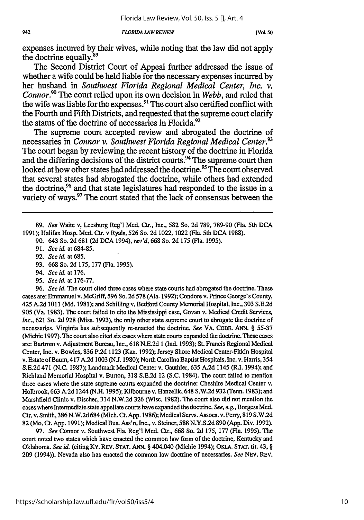expenses incurred by their wives, while noting that the law did not apply the doctrine equally.<sup>89</sup>

The Second District Court of Appeal further addressed the issue of whether a wife could be held liable for the necessary expenses incurred by her husband in *Southwest Florida Regional Medical Center, Inc. v. Connor.*<sup>90</sup> The court relied upon its own decision in *Webb*, and ruled that the wife was liable for the expenses.<sup>91</sup> The court also certified conflict with the Fourth and Fifth Districts, and requested that the supreme court clarify the status of the doctrine of necessaries in Florida.<sup>92</sup>

The supreme court accepted review and abrogated the doctrine of necessaries in *Connor v. Southwest Florida Regional Medical Center.93* The court began by reviewing the recent history of the doctrine in Florida and the differing decisions of the district courts.<sup>94</sup> The supreme court then looked at how other states had addressed the doctrine.<sup>95</sup> The court observed that several states had abrogated the doctrine, while others had extended the doctrine,<sup>96</sup> and that state legislatures had responded to the issue in a variety of ways.<sup>97</sup> The court stated that the lack of consensus between the

- 93. 668 So. 2d 175, 177 (Fla. 1995).
- 94. *See id.* at 176.
- 95. *See id.* at 176-77.

**96.** *See id.* The court cited three cases where state courts had abrogated the doctrine. These cases are: Emmanuel v. McGriff, 596 So. 2d 578 (Ala. 1992); Condom v. Prince George's County, 425 A.2d 1011 (Md. 1981); and Schilling v. Bedford County Memorial Hospital, Inc., 303 S.E.2d 905 (Va. 1983). The court failed to cite the Mississippi case, Govan v. Medical Credit Services, *Inc.,* 621 So. 2d 928 (Miss. 1993), the only other state supreme court to abrogate the doctrine of necessaries. Virginia has subsequently re-enacted the doctrine. *See* VA. **CODE.** ANN. § 55-37 (Michie 1997). The court also cited six cases where state courts expanded the doctrine. These cases are: Bartrom v. Adjustment Bureau, Inc., 618 N.E.2d 1 (Ind. 1993); St. Francis Regional Medical Center, Inc. v. Bowles, 836 P.2d 1123 (Kan. 1992); Jersey Shore Medical Center-Fitkin Hospital v. Estate ofBaum, 417 A.2d 1003 (N.J. 1980); North Carolina Baptist Hospitals, Inc. v. Harris, 354 S.E.2d 471 (N.C. 1987); Landmark Medical Center v. Gauthier, 635 A.2d 1145 (R.I. 1994); and Richland Memorial Hospital v. Burton, 318 S.E.2d 12 (S.C. 1984). The court failed to mention three cases where the state supreme courts expanded the doctrine: Cheshire Medical Center v. Holbrook, 663 A.2d 1244 (N.H. 1995); Kilbourne v. Hanzelik, 648 S.W.2d 932 (Tenn. 1983); and Marshfield Clinic v. Discher, 314 N.W.2d 326 (Wise. 1982). The court also did not mention the cases where intermediate state appellate courts have expanded the doctrine. *See, e.g.,* Borgess Med. Ctr. v. Smith, 386 N.W.2d 684 (Mich. Ct. App. 1986); Medical Servs. Assocs. v. Perry, 819 S.W.2d 82 (Mo. Ct. App. 1991); Medical Bus. Ass'n, Inc., v. Steiner, 588 N.Y.S.2d 890 (App. Div. 1992).

97. *See* Connor v. Southwest Fla. Reg'l Med. Ctr., 668 So. 2d 175, 177 (Fla. 1995). The court noted two states which have enacted the common law form of the doctrine, Kentucky and Oklahoma. *See id.* (citing KY. REV. **STAT. ANN.** § 404.040 (Michie 1994); OKiA. **STAT.** tit. 43, § **209** (1994)). Nevada also has enacted the common law doctrine of necessaries. *See* NEV. REV.

**<sup>89.</sup>** *See* Waite v. Leesburg Reg'l Med. Ctr., Inc., **582** So. 2d **789,** 789-90 (Fla. 5th **DCA** 1991); Halifax Hosp. Med. Ctr. v Ryals, 526 So. **2d** 1022, 1022 (Fla. 5th DCA 1988).

**<sup>90.</sup>** 643 So. 2d 681 (2d DCA 1994), *rev'd,* 668 So. 2d 175 (Fla. 1995).

<sup>91.</sup> *See id.* at 684-85.

<sup>92.</sup> *See id.* at 685.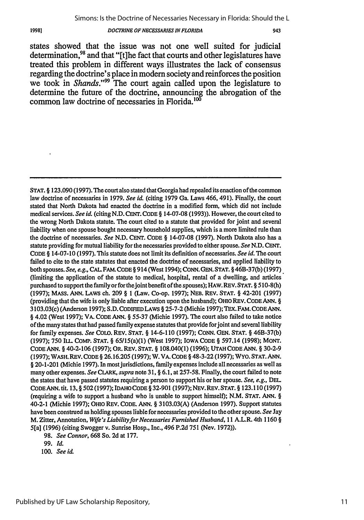943

states showed that the issue was not one well suited for judicial determination,<sup>98</sup> and that "[t]he fact that courts and other legislatures have treated this problem in different ways illustrates the lack of consensus regarding the doctrine's place in modem society and reinforces the position we took in *Shands*."<sup>99</sup> The court again called upon the legislature to determine the future of the doctrine, announcing the abrogation of the common law doctrine of necessaries in Florida. $100$ 

STAT. § 123.090(1997). The court also stated that Georgia had repealed its enaction of the common law doctrine of necessaries in 1979. *See id.* (citing 1979 Ga. Laws 466, 491). Finally, the court stated that North Dakota had enacted the doctrine in a modified form, which did not include medical services. *See id.* (citing N.D. **CENT. CODE** § 14-07-08 (1993)). However, the court cited to the wrong North Dakota statute. The court cited to a statute that provided for joint and several liability when one spouse bought necessary household supplies, which is a more limited rule than the doctrine of necessaries. *See* **N.D.** CENT. CODE § 14-07-08 (1997). North Dakota also has a statute providing for mutual liability for the necessaries provided to either spouse. *See* N.D. CENT. CODE § 14-07-10 (1997). This statute does not limit its definition of necessaries. *See id.* The court failed to cite to the state statutes that enacted the doctrine of necessaries, and applied liability to both spouses. *See, e.g.,* CAL.FAM. CODE § 914 (West 1994); CONN. GEN. STAT. § 46B-37(b) (1997) (limiting the application of the statute to medical, hospital, rental of a dwelling, and articles purchased to support the familyor for thejoint benefit of the spouses); **HAW.** REV. **STAT.** § 510-8(h) (1997); MASS. ANN. LAWS ch. 209 § 1 (Law. Co-op. 1997); NEB. REV. STAT. § 42-201 (1997) (providing that the wife is only liable after execution upon the husband); OHIO REV. CODE ANN. § 3103.03(c) (Anderson 1997); S.D. CODIFIED LAWS § 25-7-2 (Michie 1997); TEX. FAM. CODEANN. § 4.02 (West 1997); VA. CODE ANN. § 55-37 (Michie 1997). The court also failed to take notice of the many states that had passed family expense statutes that provide forjoint and several liability for family expenses. *See* COLO. REV. **STAT.** § 14-6-110 (1997); CONN. GEN. STAT. § 46B-37(b) (1997); 750 ILL. COMP. STAT. § 65/15(a)(1) (West 1997); IOWA CODE § 597.14 (1998); MONT. CODE ANN. § 40-2-106 (1997); OR. REV. STAT. § 108.040(1) (1996); UTAH CODE ANN. § 30-2-9 (1997); WASH. REV. CODE § 26.16.205 (1997); W. VA. CODE § 48-3-22 (1997); WYO. STAT. ANN. **§** 20-1-201 (Michie 1997). In most jurisdictions, family expenses include all necessaries as well as many other expenses. *See* CLARK, *supra* note 31, § 6.1, at 257-58. Finally, the court failed to note the states that have passed statutes requiring a person to support his or her spouse. *See, e.g.,* DEL CODEANN. tit. 13, § 502 (1997); IDAHO CODE § 32-901 (1997); NEV. REV. STAT. § 123.110 (1997) (requiring a wife to support a husband who is unable to support himself); N.M. STAT. ANN. § 40-2-1 (Michie 1997); OHIO REV. CODE. ANN. § 3103.03(A) (Anderson 1997). Support statutes have been construed as holding spouses liable for necessaries provided to the other spouse. *See* Jay M. Zitter, Annotation, *Wife's Liabilityfor Necessaries Furnished Husband,* 11 A.L.R. 4th 1160 § 5[a] (1996) (citing Swogger v. Sunrise Hosp., Inc., 496 P.2d 751 (Nev. 1972)).

<sup>98.</sup> *See Connor,* 668 So. 2d at 177.

<sup>99.</sup> *Id.*

*<sup>100.</sup> See id.*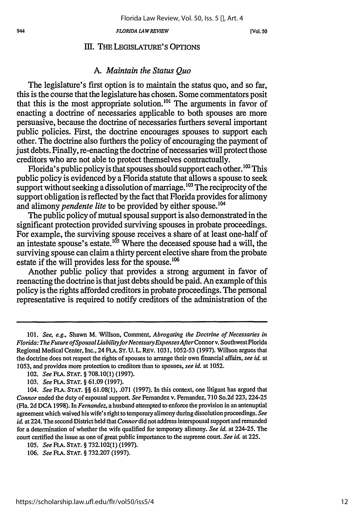### **111.** THE LEGISLATURE'S OPTIONS

### *A. Maintain the Status Quo*

The legislature's first option is to maintain the status quo, and so far, this is the course that the legislature has chosen. Some commentators posit that this is the most appropriate solution.<sup>101</sup> The arguments in favor of enacting a doctrine of necessaries applicable to both spouses are more persuasive, because the doctrine of necessaries furthers several important public policies. First, the doctrine encourages spouses to support each other. The doctrine also furthers the policy of encouraging the payment of just debts. Finally, re-enacting the doctrine of necessaries will protect those creditors who are not able to protect themselves contractually.

Florida's public policy is that spouses should support each other.<sup>102</sup> This public policy is evidenced by a Florida statute that allows a spouse to seek support without seeking a dissolution of marriage.<sup>103</sup> The reciprocity of the support obligation is reflected by the fact that Florida provides for alimony and alimony *pendente lite* to be provided by either spouse.<sup>104</sup>

The public policy of mutual spousal support is also demonstrated in the significant protection provided surviving spouses in probate proceedings. For example, the surviving spouse receives a share of at least one-half of an intestate spouse's estate.<sup>105</sup> Where the deceased spouse had a will, the surviving spouse can claim a thirty percent elective share from the probate estate if the will provides less for the spouse.<sup>106</sup>

Another public policy that provides a strong argument in favor of reenacting the doctrine is that just debts should be paid. An example of this policy is the rights afforded creditors in probate proceedings. The personal representative is required to notify creditors of the administration of the

**<sup>101.</sup>** *See, e.g.,* Shawn M. Willson, Comment, *Abrogating the Doctrine of Necessaries in Florida: The Future of Spousal Liability for Necessary Expenses After Connor v. Southwest Florida* Regional Medical Center, Inc., 24 FLA. ST. U. L. REV. 1031, 1052-53 (1997). Willson argues that the doctrine does not respect the rights of spouses to arrange their own financial affairs, *see id.* at 1053, and provides more protection to creditors than to spouses, *see id.* at 1052.

<sup>102.</sup> *See* **FLA. STAT.** § 708.10(1) (1997).

<sup>103.</sup> *See* **FLA. STAT.** § 61.09 (1997).

*<sup>104.</sup> See* **FLA. STAT.** §§ **61.08(1), .071 (1997).** In this context, one litigant has argued that *Connor* ended the duty of espousal support. *See* Fernandez v. Fernandez, 710 So.2d 223, 224-25 (Fla. 2d DCA 1998). In *Fernandez,* a husband attempted to enforce the provision in an antenuptial agreement which waived his wife's right to temporary alimony during dissolution proceedings. *See id.* at 224. The second District held that *Connor* did not address interspousal support and remanded for a determination of whether the wife qualified for temporary alimony. *See id.* at 224-25. The court certified the issue as one of great public importance to the supreme court. *See id.* at 225.

<sup>105.</sup> *See* FLA. STAT. § 732.102(1) (1997).

<sup>106.</sup> *See* FLA. STAT. § 732.207 (1997).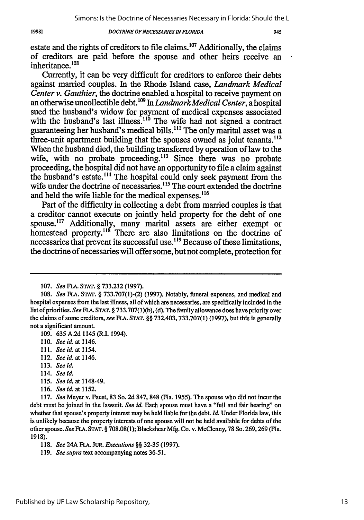### 19981

### **DOCTRINE OF NECESSARIES IN FLORIDA**

estate and the rights of creditors to file claims. $107$  Additionally, the claims of creditors are paid before the spouse and other heirs receive an inheritance.<sup>108</sup>

Currently, it can be very difficult for creditors to enforce their debts against married couples. In the Rhode Island case, *Landmark Medical Center v. Gauthier,* the doctrine enabled a hospital to receive payment on an otherwise uncollectible debt.1°9 In *Landmark Medical Center,* a hospital sued the husband's widow for payment of medical expenses associated with the husband's last illness.<sup>110</sup> The wife had not signed a contract guaranteeing her husband's medical bills.<sup>111</sup> The only marital asset was a three-unit apartment building that the spouses owned as joint tenants.<sup>112</sup> When the husband died, the building transferred by operation of law to the wife, with no probate proceeding.<sup>113</sup> Since there was no probate proceeding, the hospital did not have an opportunity to file a claim against the husband's estate.<sup>114</sup> The hospital could only seek payment from the wife under the doctrine of necessaries.<sup>115</sup> The court extended the doctrine and held the wife liable for the medical expenses.<sup>116</sup>

Part of the difficulty in collecting a debt from married couples is that a creditor cannot execute on jointly held property for the debt of one spouse.<sup>117</sup> Additionally, many marital assets are either exempt or homestead property.<sup>118</sup> There are also limitations on the doctrine of necessaries that prevent its successful use.<sup>119</sup> Because of these limitations, the doctrine of necessaries will offer some, but not complete, protection for

109. **635** A.2d 1145 (R.I. 1994).

- 111. *Seeid. at 1154.*
- 112. *Seeid. at 1146.*
- 113. *See* **id.**
- 114. *See id.*
- 115. *See id.* at 1148-49.
- **116.** *See id. at 1152.*

<sup>107.</sup> See *FLA.* **STAT.** § 733.212 (1997).

<sup>108.</sup> *See* FLA. **STAT.** § 733.707(1)-(2) (1997). Notably, funeral expenses, and medical and hospital expenses from the last illness, all of which are necessaries, are specifically included in the list of priorities. See **FLA. STAT.** § 733.707(1)(b), (d). The family allowance does have priority over the claims of some creditors, see FLA. **STAT.** §§ 732.403, 733.707(1) (1997), but this is generally not a significant amount.

<sup>110.</sup> *Seeid. at 1146.*

**<sup>117.</sup>** *See* Meyer v. Faust, **83** So. **2d** 847, 848 (Fla. 1955). The spouse who did not incur the debt must be joined in the lawsuit. *See id.* Each spouse must have a "full and fair hearing" on whether that spouse's property interest may be held liable for the debt. *Id.* Under Florida law, this is unlikely because the property interests of one spouse will not be held available for debts of the other spouse. *See FLA.* **STAT.** § 708.08(1); Blackshear Mfg. Co. v. McClenny, **78** So. 269,269 (Fla. 1918).

**<sup>118.</sup>** *See* 24A FLA. **JUR. Executions** *§§* **32-35** (1997).

**<sup>119.</sup>** *See supra* text accompanying notes **36-51.**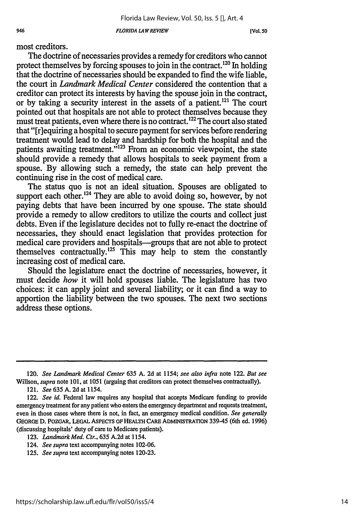most creditors.

The doctrine of necessaries provides a remedy for creditors who cannot protect themselves by forcing spouses to join in the contract.<sup>120</sup> In holding that the doctrine of necessaries should be expanded to find the wife liable, the court in *Landmark Medical Center* considered the contention that a creditor can protect its interests by having the spouse join in the contract, or by taking a security interest in the assets of a patient.<sup>121</sup> The court pointed out that hospitals are not able to protect themselves because they must treat patients, even where there is no contract.<sup>122</sup> The court also stated that "[riequiring a hospital to secure payment for services before rendering treatment would lead to delay and hardship for both the hospital and the patients awaiting treatment."<sup>123</sup> From an economic viewpoint, the state should provide a remedy that allows hospitals to seek payment from a spouse. By allowing such a remedy, the state can help prevent the continuing rise in the cost of medical care.

The status quo is not an ideal situation. Spouses are obligated to support each other.<sup>124</sup> They are able to avoid doing so, however, by not paying debts that have been incurred by one spouse. The state should provide a remedy to allow creditors to utilize the courts and collect just debts. Even if the legislature decides not to fully re-enact the doctrine of necessaries, they should enact legislation that provides protection for medical care providers and hospitals-groups that are not able to protect themselves contractually.<sup>125</sup> This may help to stem the constantly increasing cost of medical care.

Should the legislature enact the doctrine of necessaries, however, it must decide *how* it will hold spouses liable. The legislature has two choices: it can apply joint and several liability; or it can find a way to apportion the liability between the two spouses. The next two sections address these options.

<sup>120.</sup> *See Landmark Medical Center* **635** A. 2d at 1154; *see also infra* note 122. *But see* Willson, *supra* note 101, at 1051 (arguing that creditors can protect themselves contractually).

<sup>121.</sup> *See* **635** A. 2d at 1154.

<sup>122.</sup> *See id.* Federal law requires any hospital that accepts Medicare funding to provide emergency treatment for any patient who enters the emergency department and requests treatment, even in those cases where there is not, in fact, an emergency medical condition. *See generally* **GEORGE D.** POZGAR, **LEGAL ASPECTS OF HEALTH CARE ADMINISTRATION 339-45** (6th ed. **1996)** (discussing hospitals' duty of care to Medicare patients).

**<sup>123.</sup>** *Landmark Med. Ctr.,* **635 A.2d** at 1154.

<sup>124.</sup> *See supra* text accompanying notes **102-06.**

**<sup>125.</sup>** *See supra* text accompanying notes **120-23.**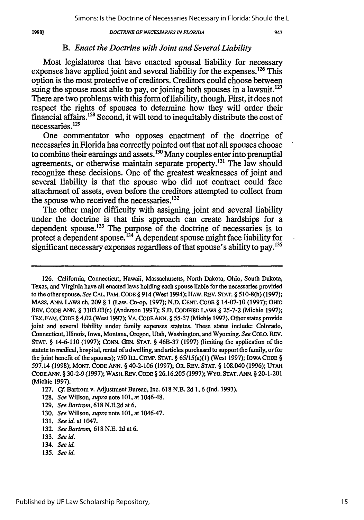### 1998)

### *DOCTRINE OF NECESSARIES IN FLORIDA*

### *B. Enact the Doctrine with Joint and Several Liability*

Most legislatures that have enacted spousal liability for necessary expenses have applied joint and several liability for the expenses. **126** This option is the most protective of creditors. Creditors could choose between suing the spouse most able to pay, or joining both spouses in a lawsuit.<sup>127</sup> There are two problems with this form of liability, though. First, it does not respect the rights of spouses to determine how they will order their financial affairs.128 Second, it will tend to inequitably distribute the cost of necessaries. 129

One commentator who opposes enactment of the doctrine of necessaries in Florida has correctly pointed out that not all spouses choose to combine their earnings and assets.13° Many couples enter into prenuptial agreements, or otherwise maintain separate property.<sup>131</sup> The law should recognize these decisions. One of the greatest weaknesses of joint and several liability is that the spouse who did not contract could face attachment of assets, even before the creditors attempted to collect from the spouse who received the necessaries. $132$ 

The other major difficulty with assigning joint and several liability under the doctrine is that this approach can create hardships for a dependent spouse.<sup>133</sup> The purpose of the doctrine of necessaries is to protect a dependent spouse.<sup>134</sup>  $\overline{A}$  dependent spouse might face liability for significant necessary expenses regardless of that spouse's ability to pay.<sup>135</sup>

- **129.** *See Bartrom,* **618 N.E.2d** at **6.**
- **130.** *See* Willson, *supra* note **101,** at 1046-47.
- **131.** *See id.* at 1047.
- **132.** *See Bartrom,* **618 N.E. 2d** at **6.**
- **133.** *See id.*
- 134. *See id.*
- **135.** *See id.*

**<sup>126.</sup>** California, Connecticut, Hawaii, Massachusetts, North Dakota, Ohio, South Dakota, Texas, and Virginia have all enacted laws holding each spouse liable for the necessaries provided to the other spouse. *See* **CAL. FAM. CODE** § 914 (West 1994); **HAW.** REV. **STAT.** § **510-8(h) (1997);** MASS. **ANN. LAWS** ch. **209** § **1** (Law. Co-op. **1997); N.D. CENT. CODE** § 14-07-10 **(1997); OHIO** REV. **CODE ANN.** § 3103.03(c) (Anderson **1997); S.D. CODIFIED** LAWS § **25-7-2** (Michie **1997);** Tax. FAM. **CODE** § 4.02 (West **1997);** VA. **CODE ANN.** § **55-37** (Michie **1997).** Other states provide joint and several liability under family expenses statutes. These states include: Colorado, Connecticut, Illinois, Iowa, Montana, Oregon, Utah, Washington, and Wyoming. *See* **COLO.** REV. **STAT.** § 14-6-110 **(1997); CONN. GEN. STAT.** § 46B-37 **(1997)** (limiting the application of the statute to medical, hospital, rental of a dwelling, and articles purchased to support the family, or for the joint benefit of the spouses); **750** ILL. **COMP. STAT.** § 65/15(a)(1) (West **1997);** IOWA **CODE** § **597.14 (1998); MONT. CODE ANN.** § 40-2-106 **(1997);** OR. REV. **STAT.** § 108.040 **(1996); UTAH CODE ANN.** § **30-2-9 (1997);** WASH. REV. **CODE** § **26.16.205 (1997);** WYO. **STAT. ANN.** § 20-1-201 (Michie **1997).**

**<sup>127.</sup>** *Cf.* Bartrom v. Adjustment Bureau, Inc. **618 N.E. 2d 1,** 6 **(Ind. 1993).**

**<sup>128.</sup>** *See* Willson, *supra* note **101,** at 1046-48.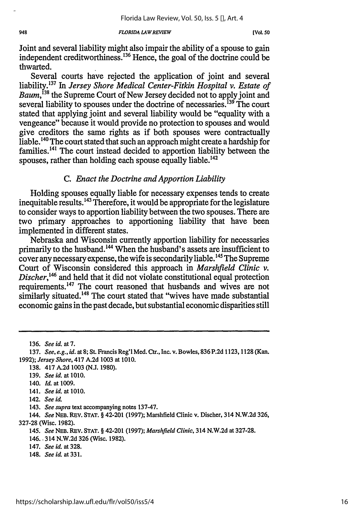Joint and several liability might also impair the ability of a spouse to gain independent creditworthiness.<sup>136</sup> Hence, the goal of the doctrine could be thwarted.

Several courts have rejected the application of joint and several liability.<sup>137</sup> In *Jersey Shore Medical Center-Fitkin Hospital v. Estate of Baum,138* the Supreme Court of New Jersey decided not to apply joint and several liability to spouses under the doctrine of necessaries.<sup>139</sup> The court stated that applying joint and several liability would be "equality with a vengeance" because it would provide no protection to spouses and would give creditors the same rights as if both spouses were contractually liable.<sup>140</sup> The court stated that such an approach might create a hardship for families.<sup> $141$ </sup> The court instead decided to apportion liability between the spouses, rather than holding each spouse equally liable.<sup>142</sup>

## *C. Enact the Doctrine and Apportion Liability*

Holding spouses equally liable for necessary expenses tends to create inequitable results. 143 Therefore, it would be appropriate for the legislature to consider ways to apportion liability between the two spouses. There are two primary approaches to apportioning liability that have been implemented in different states.

Nebraska and Wisconsin currently apportion liability for necessaries primarily to the husband.<sup>144</sup> When the husband's assets are insufficient to cover any necessary expense, the wife is secondarily liable.<sup>145</sup> The Supreme Court of Wisconsin considered this approach in *Marshfield Clinic v. Discher*,<sup>146</sup> and held that it did not violate constitutional equal protection requirements.<sup>147</sup> The court reasoned that husbands and wives are not similarly situated.<sup>148</sup> The court stated that "wives have made substantial economic gains in the past decade, but substantial economic disparities still

136. *See id. at 7.*

- 138. 417 A.2d 1003 (N.J. 1980).
- 139. *See id.* at 1010.
- 140. *Id.* at 1009.
- 141. *See id.* at 1010.
- 142. *See id.*
- 143. *See supra* text accompanying notes 137-47.

- *145. See* **NEB.** REV. **STAT.** § 42-201 (1997); *Marshfield Clinic,* 314 N.W.2d at 327-28.
- 146.. 314 N.W.2d 326 (Wisc. 1982).
- 147. *See id.* at 328.
- 148. *See id.* at 331.

<sup>137.</sup> *See, e.g., id.* at 8; St. Francis Reg'l Med. Ctr., Inc. v. Bowles, 836 P.2d 1123, 1128 (Kan. 1992); *Jersey Shore,* 417 A.2d 1003 at 1010.

<sup>144.</sup> *See* **NEB.** REV. **STAT.** § 42-201 (1997); Marshfield Clinic v. Discher, 314 N.W.2d 326, 327-28 (Wisc. 1982).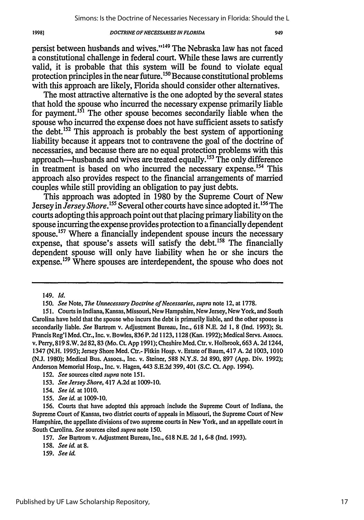persist between husbands and wives."<sup>149</sup> The Nebraska law has not faced a constitutional challenge in federal court. While these laws are currently valid, it is probable that this system will be found to violate equal protection principles in the near future.<sup>150</sup> Because constitutional problems with this approach are likely, Florida should consider other alternatives.

The most attractive alternative is the one adopted by the several states that hold the spouse who incurred the necessary expense primarily liable for payment.<sup>151</sup> The other spouse becomes secondarily liable when the spouse who incurred the expense does not have sufficient assets to satisfy the debt.'52 This approach is probably the best system of apportioning liability because it appears tnot to contravene the goal of the doctrine of necessaries, and because there are no equal protection problems with this approach-husbands and wives are treated equally. 153 The only difference in treatment is based on who incurred the necessary expense.<sup>154</sup> This approach also provides respect to the financial arrangements of married couples while still providing an obligation to pay just debts.

This approach was adopted in 1980 by the Supreme Court of New Jersey in *Jersey Shore.'55* Several other courts have since adopted it.'56 The courts adopting this approach point out that placing primary liability on the spouse incurring the expense provides protection to a financially dependent spouse.<sup>157</sup> Where a financially independent spouse incurs the necessary expense, that spouse's assets will satisfy the debt.<sup>158</sup> The financially dependent spouse will only have liability when he or she incurs the expense.<sup>159</sup> Where spouses are interdependent, the spouse who does not

- 152. *See* sources cited *supra* note 151.
- 153. *See Jersey Shore,* 417 A.2d at 1009-10.
- 154. *See id.* at 1010.
- 155. *See id.* at 1009-10.

159. *See id.*

<sup>149.</sup> *Id.*

*<sup>150.</sup> See* Note, *The Unnecessary Doctrine of Necessaries, supra* note 12, at 1778.

<sup>151.</sup> Courts in Indiana, Kansas, Missouri, New Hampshire, New Jersey, New York, and South Carolina have held that the spouse who incurs the debt is primarily liable, and the other spouse is secondarily liable. *See* Bartrom v. Adjustment Bureau, Inc., 618 N.E. 2d 1, 8 (Ind. 1993); St. Francis Reg'l Med. Ctr., Inc. v. Bowles, 836 P. 2d 1123,1128 (Kan. 1992); Medical Servs. Assocs. v. Perry, 819 S.W. 2d 82,83 (Mo. Ct. App 1991); Cheshire Med. Ctr. v. Holbrook, 663 A. 2d 1244, 1347 (N.H. 1995); Jersey Shore Med. Ctr.- Fitkin Hosp. v. Estate of Baum, 417 A. 2d 1003, 1010 (N.J. 1980); Medical Bus. Assocs., Inc. v. Steiner, 588 N.Y.S. 2d 890, 897 (App. Div. 1992); Anderson Memorial Hosp., Inc. v. Hagen, 443 S.E.2d 399,401 (S.C. Ct. App. 1994).

<sup>156.</sup> Courts that have adopted this approach include the Supreme Court of Indiana, the Supreme Court of Kansas, two district courts of appeals in Missouri, the Supreme Court of New Hampshire, the appellate divisions of two supreme courts in New York, and an appellate court in South Carolina. *See* sources cited *supra* note 150.

<sup>157.</sup> *See* Bartrom v. Adjustment Bureau, Inc., 618 N.E. 2d 1, 6-8 (Ind. 1993).

<sup>158.</sup> *See id.* at **8.**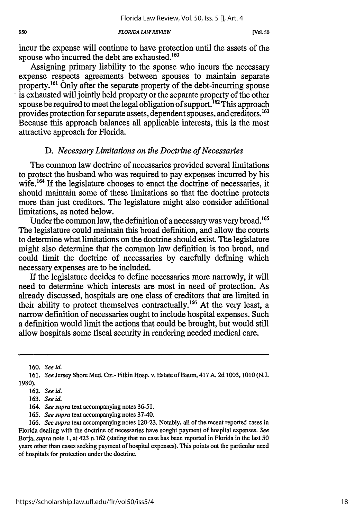incur the expense will continue to have protection until the assets of the spouse who incurred the debt are exhausted.<sup>160</sup>

Assigning primary liability to the spouse who incurs the necessary expense respects agreements between spouses to maintain separate property.<sup>161</sup> Only after the separate property of the debt-incurring spouse is exhausted will jointly held property or the separate property of the other spouse be required to meet the legal obligation of support.<sup>162</sup> This approach provides protection for separate assets, dependent spouses, and creditors.<sup>163</sup> Because this approach balances all applicable interests, this is the most attractive approach for Florida.

## *D. Necessary Limitations on the Doctrine of Necessaries*

The common law doctrine of necessaries provided several limitations to protect the husband who was required to pay expenses incurred by his wife.<sup>164</sup> If the legislature chooses to enact the doctrine of necessaries, it should maintain some of these limitations so that the doctrine protects more than just creditors. The legislature might also consider additional limitations, as noted below.

Under the common law, the definition of a necessary was very broad.<sup>165</sup> The legislature could maintain this broad definition, and allow the courts to determine what limitations on the doctrine should exist. The legislature might also determine that the common law definition is too broad, and could limit the doctrine of necessaries by carefully defining which necessary expenses are to be included.

If the legislature decides to define necessaries more narrowly, it will need to determine which interests are most in need of protection. As already discussed, hospitals are one class of creditors that are limited in their ability to protect themselves contractually.<sup>166</sup> At the very least, a narrow definition of necessaries ought to include hospital expenses. Such a definition would limit the actions that could be brought, but would still allow hospitals some fiscal security in rendering needed medical care.

<sup>160.</sup> *See id.*

<sup>161.</sup> *See* Jersey Shore Med. Ctr.- Fitkin Hosp. v. Estate of Baum, 417 A. 2d 1003, 1010 (N.J. 1980).

<sup>162.</sup> *See id.*

<sup>163.</sup> See id.

<sup>164.</sup> *See supra* text accompanying notes **36-51.**

**<sup>165.</sup>** *See supra* text accompanying notes 37-40.

<sup>166.</sup> *See supra* text accompanying notes 120-23. Notably, all of the recent reported cases in Florida dealing with the doctrine of necessaries have sought payment of hospital expenses. *See* Borja, *supra* note 1, at 423 n.162 (stating that no case has been reported in Florida in the last 50 years other than cases seeking payment of hospital expenses). This points out the particular need of hospitals for protection under the doctrine.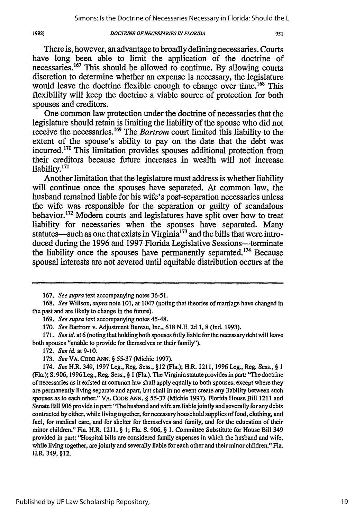19981

#### *DOCTRINE* **OF NECESSARIES IN** *FLORIDA*

There is, however, an advantage to broadly defining necessaries. Courts have long been able to limit the application of the doctrine of necessaries. 67 This should be allowed to continue. **By** allowing courts discretion to determine whether an expense is necessary, the legislature would leave the doctrine flexible enough to change over time.<sup>168</sup> This flexibility will keep the doctrine a viable source of protection for both spouses and creditors.

One common law protection under the doctrine of necessaries that the legislature should retain is limiting the liability of the spouse who did not receive the necessaries.<sup>169</sup> The *Bartrom* court limited this liability to the extent of the spouse's ability to pay on the date that the debt was incurred.<sup>170</sup> This limitation provides spouses additional protection from their creditors because future increases in wealth will not increase liability. **<sup>171</sup>**

Another limitation that the legislature must address is whether liability will continue once the spouses have separated. At common law, the husband remained liable for his wife's post-separation necessaries unless the wife was responsible for the separation or guilty of scandalous behavior.<sup>172</sup> Modern courts and legislatures have split over how to treat liability for necessaries when the spouses have separated. Many statutes—such as one that exists in Virginia<sup>173</sup> and the bills that were introduced during the **1996** and **1997** Florida Legislative Sessions-terminate the liability once the spouses have permanently separated.<sup> $174$ </sup> Because spousal interests are not severed until equitable distribution occurs at the

**172.** *Seeid.* **at9-10.**

**<sup>167.</sup>** *See supra* text accompanying notes **36-51.**

**<sup>168.</sup>** *See* Willson, *supra* note **101,** at 1047 (noting that theories of marriage have changed in the past and are likely to change in the future).

**<sup>169.</sup>** *See supra* text accompanying notes 45-48.

**<sup>170.</sup>** *See* Bartrom v. Adjustment Bureau, Inc., **618 N.E. 2d 1, 8 (Ind. 1993).**

**<sup>171.</sup>** *See id.* at **6** (noting that holding both spouses fully liable for the necessary debt will leave both spouses "unable to provide for themselves or their family").

**<sup>173.</sup>** *See* VA. **CODE ANN. § 55-37** (Michie **1997).**

<sup>174.</sup> *See* H.R. 349, **1997** Leg., Reg. Sess., **§12** (Fla.); H.R. 1211, **1996** Leg., Reg. Sess., **§ 1** (Fla.); **S. 906,1996** Leg., Reg. Sess., **§ I** (Fla.). **The** Virginia statute provides in part: **"The** doctrine of necessaries as it existed at common law shall apply equally to both spouses, except where they are permanently living separate and apart, but shall in no event create any liability between such spouses as to each other." VA. **CODE ANN. § 55-37** (Michie **1997).** Florida House Bill 1211 and Senate Bill **906** provide in part: **"The** husband and wife are liable jointly and severally for any debts contracted **by** either, while living together, for necessary household supplies of food, clothing, and fuel, for medical care, and for shelter for themselves and family, and for the education of their minor children." Fla. H.R. **1211, § 1;** Fla. **S. 906, § 1.** Committee Substitute for House Bill 349 provided in part: "Hospital bills are considered family expenses in which the husband and wife, while living together, are jointly and severally liable for each other and their minor children." Fla. H.R. 349, §12.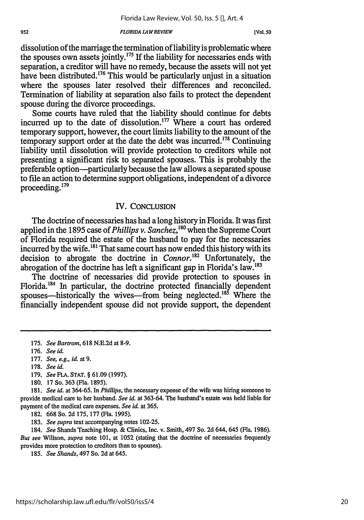dissolution of the marriage the termination of liability is problematic where the spouses own assets jointly.<sup>175</sup> If the liability for necessaries ends with separation, a creditor will have no remedy, because the assets will not yet have been distributed.<sup>176</sup> This would be particularly unjust in a situation where the spouses later resolved their differences and reconciled. Termination of liability at separation also fails to protect the dependent spouse during the divorce proceedings.

Some courts have ruled that the liability should continue for debts incurred up to the date of dissolution.<sup>177</sup> Where a court has ordered temporary support, however, the court limits liability to the amount of the temporary support order at the date the debt was incurred.<sup>178</sup> Continuing liability until dissolution will provide protection to creditors while not presenting a significant risk to separated spouses. This is probably the preferable option-particularly because the law allows a separated spouse to file an action to determine support obligations, independent of a divorce proceeding. <sup>179</sup>

### IV. **CONCLUSION**

The doctrine of necessaries has had a long history in Florida. It was first applied in the 1895 case of *Phillips v. Sanchez*,<sup>180</sup> when the Supreme Court of Florida required the estate of the husband to pay for the necessaries incurred by the wife.<sup>181</sup> That same court has now ended this history with its decision to abrogate the doctrine in *Connor.'82* Unfortunately, the abrogation of the doctrine has left a significant gap in Florida's law.<sup>183</sup>

The doctrine of necessaries did provide protection to spouses in Florida.<sup>184</sup> In particular, the doctrine protected financially dependent spouses—historically the wives—from being neglected.<sup>185</sup> Where the financially independent spouse did not provide support, the dependent

- 179. *See FLA.* **STAT.** § 61.09 (1997).
- **180.** 17 So. 363 (Fla. 1895).

181. *See id.* at 364-65. In *Phillips,* the necessary expense of the wife was hiring someone to provide medical care to her husband. *See id.* at 363-64. The husband's estate was held liable for payment of the medical care expenses. *See id.* at 365.

182. 668 So. 2d 175, 177 (Fla. 1995).

183. *See supra* text accompanying notes 102-25.

184. *See* Shands Teaching Hosp. & Clinics, Inc. v. Smith, 497 So. 2d 644, 645 (Fla. 1986). *But see* Willson, *supra* note 101, at 1052 (stating that the doctrine of necessaries frequently provides more protection to creditors than to spouses).

185. *See Shands,* 497 So. 2d at 645.

<sup>175.</sup> *See Bartrom,* 618 N.E.2d at 8-9.

<sup>176.</sup> *See id.*

<sup>177.</sup> *See, e.g., id.* at **9.**

<sup>178.</sup> *See id.*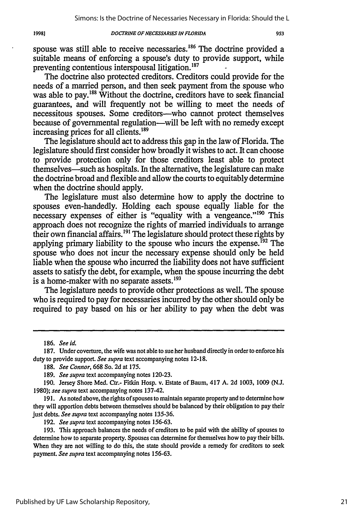spouse was still able to receive necessaries.<sup>186</sup> The doctrine provided a suitable means of enforcing a spouse's duty to provide support, while preventing contentious interspousal litigation.'<sup>87</sup>

The doctrine also protected creditors. Creditors could provide for the needs of a married person, and then seek payment from the spouse who was able to pay.<sup>188</sup> Without the doctrine, creditors have to seek financial guarantees, and will frequently not be willing to meet the needs of necessitous spouses. Some creditors—who cannot protect themselves because of governmental regulation-will be left with no remedy except increasing prices for all clients.<sup>189</sup>

The legislature should act to address this gap in the law of Florida. The legislature should first consider how broadly it wishes to act. It can choose to provide protection only for those creditors least able to protect themselves—such as hospitals. In the alternative, the legislature can make the doctrine broad and flexible and allow the courts to equitably determine when the doctrine should apply.

The legislature must also determine how to apply the doctrine to spouses even-handedly. Holding each spouse equally liable for the necessary expenses of either is "equality with a vengeance."<sup>190</sup> This approach does not recognize the rights of married individuals to arrange their own financial affairs.<sup>191</sup> The legislature should protect these rights by applying primary liability to the spouse who incurs the expense.<sup> $192$ </sup> The spouse who does not incur the necessary expense should only be held liable when the spouse who incurred the liability does not have sufficient assets to satisfy the debt, for example, when the spouse incurring the debt is a home-maker with no separate assets.<sup>193</sup>

The legislature needs to provide other protections as well. The spouse who is required to pay for necessaries incurred by the other should only be required to pay based on his or her ability to pay when the debt was

192. *See supra* text accompanying notes **156-63.**

19981

<sup>186.</sup> *See id.*

**<sup>187.</sup>** Under coverture, the wife was notable to sue her husband directly in order to enforce his duty to provide support. *See supra* text accompanying notes 12-18.

<sup>188.</sup> *See Connor,* 668 So. 2d at 175.

<sup>189.</sup> *See supra* text accompanying notes 120-23.

<sup>190.</sup> Jersey Shore Med. Ctr.- Fitkin Hosp. v. Estate of Baum, 417 A. 2d 1003, 1009 (N.J. 1980); *see supra* text accompanying notes 137-42.

<sup>191.</sup> As noted above, the rights of spouses to maintain separate property and to determine how they will apportion debts between themselves should be balanced by their obligation to pay their just debts. *See supra* text accompanying notes **135-36.**

<sup>193.</sup> This approach balances the needs of creditors to be paid with the ability of spouses to determine how to separate property. Spouses can determine for themselves how to pay their bills. When they are not willing to do this, the state should provide a remedy for creditors to seek payment. *See supra* text accompanying notes 156-63.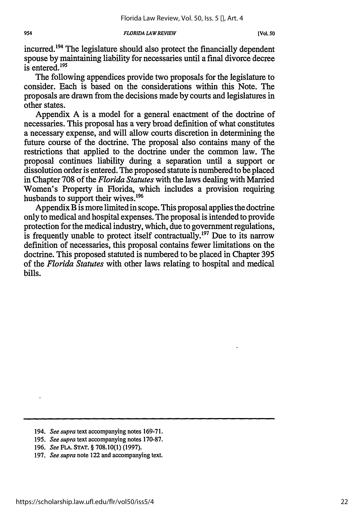954

incurred.<sup>194</sup> The legislature should also protect the financially dependent spouse by maintaining liability for necessaries until a final divorce decree is entered. $195$ 

The following appendices provide two proposals for the legislature to consider. Each is based on the considerations within this Note. The proposals are drawn from the decisions made by courts and legislatures in other states.

Appendix A is a model for a general enactment of the doctrine of necessaries. This proposal has a very broad definition of what constitutes a necessary expense, and will allow courts discretion in determining the future course of the doctrine. The proposal also contains many of the restrictions that applied to the doctrine under the common law. The proposal continues liability during a separation until a support or dissolution order is entered. The proposed statute is numbered to be placed in Chapter 708 of the *Florida Statutes* with the laws dealing with Married Women's Property in Florida, which includes a provision requiring husbands to support their wives.<sup>196</sup>

Appendix B is more limited in scope. This proposal applies the doctrine only to medical and hospital expenses. The proposal is intended to provide protection for the medical industry, which, due to government regulations, is frequently unable to protect itself contractually.<sup>197</sup> Due to its narrow definition of necessaries, this proposal contains fewer limitations on the doctrine. This proposed statuted is numbered to be placed in Chapter 395 of the *Florida Statutes* with other laws relating to hospital and medical bills.

- 195. *See supra* text accompanying notes 170-87.
- 196. *See* FLA. **STAT.** § 708.10(1) **(1997).**

<sup>194.</sup> *See supra* text accompanying notes 169-71.

<sup>197.</sup> *See supra* note 122 and accompanying text.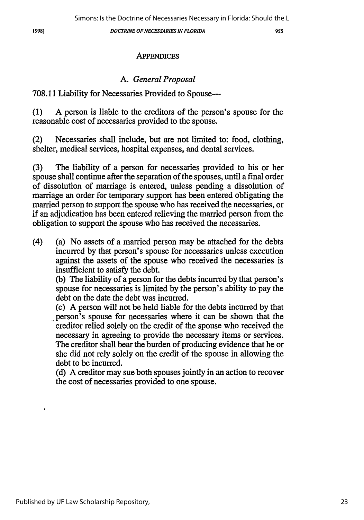955

# **APPENDICES**

# *A. General Proposal*

# 708.11 Liability for Necessaries Provided to Spouse-

(1) A person is liable to the creditors of the person's spouse for the reasonable cost of necessaries provided to the spouse.

(2) Necessaries shall include, but are not limited to: food, clothing, shelter, medical services, hospital expenses, and dental services.

(3) The liability of a person for necessaries provided to his or her spouse shall continue after the separation of the spouses, until a final order of dissolution of marriage is entered, unless pending a dissolution of marriage an order for temporary support has been entered obligating the married person to support the spouse who has received the necessaries, or if an adjudication has been entered relieving the married person from the obligation to support the spouse who has received the necessaries.

(4) (a) No assets of a married person may be attached for the debts incurred by that person's spouse for necessaries unless execution against the assets of the spouse who received the necessaries is insufficient to satisfy the debt.

(b) The liability of a person for the debts incurred by that person's spouse for necessaries is limited by the person's ability to pay the debt on the date the debt was incurred.

(c) A person will not be held liable for the debts incurred by that person's spouse for necessaries where it can be shown that the creditor relied solely on the credit of the spouse who received the necessary in agreeing to provide the necessary items or services. The creditor shall bear the burden of producing evidence that he or she did not rely solely on the credit of the spouse in allowing the debt to be incurred.

(d) A creditor may sue both spouses jointly in an action to recover the cost of necessaries provided to one spouse.